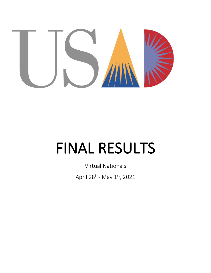

# FINAL RESULTS

Virtual Nationals April 28<sup>th</sup>- May 1<sup>st</sup>, 2021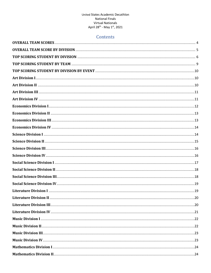# Contents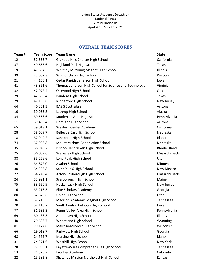# **OVERALL TEAM SCORES**

<span id="page-3-0"></span>

| Team# | <b>Team Score</b> | <b>Team Name</b>                                        | <b>State</b>      |
|-------|-------------------|---------------------------------------------------------|-------------------|
| 12    | 52,656.7          | Granada Hills Charter High School                       | California        |
| 37    | 49,655.6          | <b>Highland Park High School</b>                        | Texas             |
| 19    | 47,804.5          | Whitney M. Young Magnet High School                     | Illinois          |
| 39    | 47,607.3          | Wilmot Union High School                                | Wisconsin         |
| 21    | 44,160.1          | Cedar Rapids Jefferson High School                      | lowa              |
| 41    | 43,351.6          | Thomas Jefferson High School for Science and Technology | Virginia          |
| 32    | 42,972.4          | Oakwood High School                                     | Ohio              |
| 79    | 42,688.4          | Bandera High School                                     | Texas             |
| 29    | 42,188.8          | Rutherford High School                                  | New Jersey        |
| 64    | 40,361.3          | <b>BASIS Scottsdale</b>                                 | Arizona           |
| 10    | 39,966.8          | Lathrop High School                                     | Alaska            |
| 34    | 39,568.6          | Souderton Area High School                              | Pennsylvania      |
| 11    | 39,436.4          | Hamilton High School                                    | Arizona           |
| 65    | 39,013.1          | <b>Western Center Academy</b>                           | California        |
| 28    | 38,609.7          | <b>Bellevue East High School</b>                        | Nebraska          |
| 18    | 37,949.2          | Sandpoint High School                                   | Idaho             |
| 74    | 37,928.8          | Mount Michael Benedictine School                        | Nebraska          |
| 35    | 36,946.2          | Bishop Hendricken High School                           | Rhode Island      |
| 25    | 36,052.6          | Wellesley High School                                   | Massachusetts     |
| 38    | 35,226.6          | Lone Peak High School                                   | Utah              |
| 26    | 34,872.0          | Avalon School                                           | Minnesota         |
| 30    | 34,398.8          | Saint Pius X High School                                | <b>New Mexico</b> |
| 72    | 34,249.4          | Acton-Boxborough High School                            | Massachusetts     |
| 24    | 33,991.1          | Scarborough High School                                 | Maine             |
| 75    | 33,650.9          | Hackensack High School                                  | New Jersey        |
| 16    | 33,216.3          | Elite Scholars Academy                                  | Georgia           |
| 80    | 32,870.6          | Union High School                                       | Utah              |
| 36    | 32,218.5          | Madison Academic Magnet High School                     | Tennessee         |
| 70    | 32,113.7          | South Central Calhoun High School                       | lowa              |
| 77    | 31,632.3          | Penns Valley Area High School                           | Pennsylvania      |
| 69    | 30,488.3          | Amundsen High School                                    | Illinois          |
| 40    | 29,636.7          | Wheatland High School                                   | Wyoming           |
| 81    | 29,174.8          | Melrose-Mindoro High School                             | Wisconsin         |
| 66    | 29,018.7          | Parkview High School                                    | Georgia           |
| 68    | 24,555.7          | <b>Marsing High School</b>                              | Idaho             |
| 31    | 24,371.6          | Westhill High School                                    | New York          |
| 78    | 22,999.1          | Fayette-Ware Comprehensive High School                  | Tennessee         |
| 13    | 21,373.2          | <b>Frontier Academy</b>                                 | Colorado          |
| 22    | 15,582.8          | Shawnee Mission Northwest High School                   | Kansas            |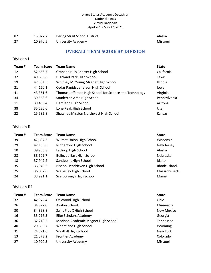<span id="page-4-0"></span>

| -82 | 15.027.7 | Bering Strait School District | Alaska   |
|-----|----------|-------------------------------|----------|
| -27 | 10.970.5 | University Academy            | Missouri |

# **OVERALL TEAM SCORE BY DIVISION**

### Division I

| Team# | <b>Team Score</b> | <b>Team Name</b>                                        | <b>State</b> |
|-------|-------------------|---------------------------------------------------------|--------------|
| 12    | 52,656.7          | Granada Hills Charter High School                       | California   |
| 37    | 49,655.6          | <b>Highland Park High School</b>                        | Texas        |
| 19    | 47,804.5          | Whitney M. Young Magnet High School                     | Illinois     |
| 21    | 44,160.1          | Cedar Rapids Jefferson High School                      | lowa         |
| 41    | 43,351.6          | Thomas Jefferson High School for Science and Technology | Virginia     |
| 34    | 39,568.6          | Souderton Area High School                              | Pennsylvania |
| 11    | 39,436.4          | Hamilton High School                                    | Arizona      |
| 38    | 35,226.6          | Lone Peak High School                                   | Utah         |
| 22    | 15,582.8          | Shawnee Mission Northwest High School                   | Kansas       |

### Division II

| Team# | <b>Team Score</b> | <b>Team Name</b>              | <b>State</b>  |
|-------|-------------------|-------------------------------|---------------|
| 39    | 47,607.3          | Wilmot Union High School      | Wisconsin     |
| 29    | 42,188.8          | Rutherford High School        | New Jersey    |
| 10    | 39,966.8          | Lathrop High School           | Alaska        |
| 28    | 38,609.7          | Bellevue East High School     | Nebraska      |
| 18    | 37,949.2          | Sandpoint High School         | Idaho         |
| 35    | 36,946.2          | Bishop Hendricken High School | Rhode Island  |
| 25    | 36,052.6          | Wellesley High School         | Massachusetts |
| 24    | 33,991.1          | Scarborough High School       | Maine         |

### Division III

| Team# | <b>Team Score</b> | <b>Team Name</b>                    | <b>State</b> |
|-------|-------------------|-------------------------------------|--------------|
| 32    | 42,972.4          | Oakwood High School                 | Ohio         |
| 26    | 34,872.0          | Avalon School                       | Minnesota    |
| 30    | 34,398.8          | Saint Pius X High School            | New Mexico   |
| 16    | 33,216.3          | Elite Scholars Academy              | Georgia      |
| 36    | 32,218.5          | Madison Academic Magnet High School | Tennessee    |
| 40    | 29,636.7          | Wheatland High School               | Wyoming      |
| 31    | 24,371.6          | Westhill High School                | New York     |
| 13    | 21,373.2          | <b>Frontier Academy</b>             | Colorado     |
| 27    | 10,970.5          | <b>University Academy</b>           | Missouri     |
|       |                   |                                     |              |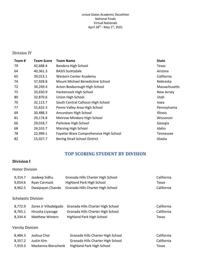### Division IV

| Team# | <b>Team Score</b> | <b>Team Name</b>                       | <b>State</b>    |
|-------|-------------------|----------------------------------------|-----------------|
| 79    | 42,688.4          | Bandera High School                    | Texas           |
| 64    | 40,361.3          | <b>BASIS Scottsdale</b>                | Arizona         |
| 65    | 39,013.1          | Western Center Academy                 | California      |
| 74    | 37,928.8          | Mount Michael Benedictine School       | Nebraska        |
| 72    | 34,249.4          | Acton-Boxborough High School           | Massachusetts   |
| 75    | 33,650.9          | Hackensack High School                 | New Jersey      |
| 80    | 32,870.6          | Union High School                      | Utah            |
| 70    | 32,113.7          | South Central Calhoun High School      | Iowa            |
| 77    | 31,632.3          | Penns Valley Area High School          | Pennsylvania    |
| 69    | 30,488.3          | Amundsen High School                   | <b>Illinois</b> |
| 81    | 29,174.8          | Melrose-Mindoro High School            | Wisconsin       |
| 66    | 29,018.7          | Parkview High School                   | Georgia         |
| 68    | 24,555.7          | Marsing High School                    | Idaho           |
| 78    | 22,999.1          | Fayette-Ware Comprehensive High School | Tennessee       |
| 82    | 15,027.7          | Bering Strait School District          | Alaska          |

# **TOP SCORING STUDENT BY DIVISION**

### <span id="page-5-0"></span>**Division I**

### Honor Division

| 9,314.7                    | Jasdeep Sidhu          | Granada Hills Charter High School | California |
|----------------------------|------------------------|-----------------------------------|------------|
| 9,054.6                    | Ryan Carmack           | <b>Highland Park High School</b>  | Texas      |
| 8,962.5                    | Dwaipayan Chanda       | Granada Hills Charter High School | California |
| <b>Scholastic Division</b> |                        |                                   |            |
| 8,772.9                    | Zorex Jr Villadelgado  | Granada Hills Charter High School | California |
| 8,765.1                    | Hirusha Liyanage       | Granada Hills Charter High School | California |
| 8,334.4                    | <b>Matthew Winters</b> | Highland Park High School         | Texas      |
| <b>Varsity Division</b>    |                        |                                   |            |
| 8,484.3                    | Joshua Choi            | Granada Hills Charter High School | California |
| 8,357.2                    | Justin Kim             | Granada Hills Charter High School | California |
| 7,919.3                    | Mackenna Bierschenk    | <b>Highland Park High School</b>  | Texas      |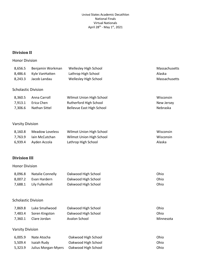### **Division II**

### Honor Division

| 8,656.5                    | Benjamin Workman        | Wellesley High School            | Massachusetts |
|----------------------------|-------------------------|----------------------------------|---------------|
| 8,486.6                    | Kyle VanHatten          | Lathrop High School              | Alaska        |
| 8,243.3                    | Jacob Landau            | Wellesley High School            | Massachusetts |
| <b>Scholastic Division</b> |                         |                                  |               |
| 8,360.5                    | Anna Carroll            | Wilmot Union High School         | Wisconsin     |
| 7,913.1                    | Erica Chen              | Rutherford High School           | New Jersey    |
| 7,306.6                    | Nathan Sittel           | <b>Bellevue East High School</b> | Nebraska      |
| <b>Varsity Division</b>    |                         |                                  |               |
| 8,160.8                    | <b>Meadow Loveless</b>  | Wilmot Union High School         | Wisconsin     |
| 7,763.9                    | Iain McCutchan          | Wilmot Union High School         | Wisconsin     |
| 6,939.4                    | Ayden Accola            | Lathrop High School              | Alaska        |
| <b>Division III</b>        |                         |                                  |               |
| <b>Honor Division</b>      |                         |                                  |               |
| 8,096.8                    | <b>Natalie Connelly</b> | Oakwood High School              | Ohio          |
| 8,007.2                    | Evan Hardern            | Oakwood High School              | Ohio          |
| 7,688.1                    | Lily Fullenhull         | Oakwood High School              | Ohio          |
| <b>Scholastic Division</b> |                         |                                  |               |
| 7,869.8                    | Luke Smallwood          | Oakwood High School              | Ohio          |
| 7,483.4                    | Soren Kingston          | Oakwood High School              | Ohio          |
| 7,360.1                    | Clare Jordan            | <b>Avalon School</b>             | Minnesota     |
| <b>Varsity Division</b>    |                         |                                  |               |
| 6,005.9                    | Nate Atocha             | Oakwood High School              | Ohio          |
| 5,509.4                    | Isaiah Rudy             | Oakwood High School              | Ohio          |

5,323.9 Julius Morgan-Myers Oakwood High School Ohio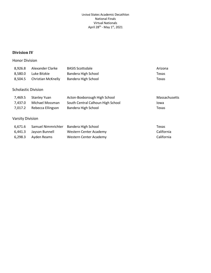### **Division IV**

### Honor Division

| 8,926.8                    | Alexander Clarke          | <b>BASIS Scottsdale</b>           | Arizona       |
|----------------------------|---------------------------|-----------------------------------|---------------|
| 8,580.0                    | Luke Bitzkie              | Bandera High School               | Texas         |
| 8,504.5                    | <b>Christian McKnelly</b> | Bandera High School               | Texas         |
| <b>Scholastic Division</b> |                           |                                   |               |
| 7,469.5                    | <b>Stanley Yuan</b>       | Acton-Boxborough High School      | Massachusetts |
| 7,437.0                    | Michael Mossman           | South Central Calhoun High School | Iowa          |
| 7,017.2                    | Rebecca Ellingson         | Bandera High School               | Texas         |
| <b>Varsity Division</b>    |                           |                                   |               |
| 6,671.6                    | Samuel Nimmrichter        | Bandera High School               | Texas         |
| 6,441.3                    | Jayson Bunnell            | Western Center Academy            | California    |
| 6,298.3                    | Ayden Reams               | Western Center Academy            | California    |
|                            |                           |                                   |               |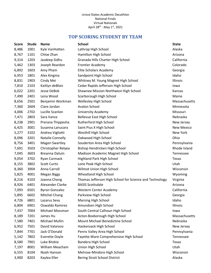# **TOP SCORING STUDENT BY TEAM**

<span id="page-8-0"></span>

| Score | <b>Stude</b> | <b>Name</b>             | <b>School</b>                                           | <b>State</b>      |
|-------|--------------|-------------------------|---------------------------------------------------------|-------------------|
| 8,486 | 1001         | Kyle VanHatten          | Lathrop High School                                     | Alaska            |
| 8,767 | 1101         | Chloe Zhan              | Hamilton High School                                    | Arizona           |
| 9,314 | 1203         | Jasdeep Sidhu           | Granada Hills Charter High School                       | California        |
| 5,462 | 1303         | Joseph Reardon          | <b>Frontier Academy</b>                                 | Colorado          |
| 6,892 | 1603         | Amy Pham                | Elite Scholars Academy                                  | Georgia           |
| 6,953 | 1801         | Alex Kingma             | Sandpoint High School                                   | Idaho             |
| 8,831 | 1903         | Cindy Mei               | Whitney M. Young Magnet High School                     | Illinois          |
| 7,810 | 2103         | Kaitlyn deBlois         | Cedar Rapids Jefferson High School                      | lowa              |
| 6,022 | 2201         | Jesse DeBok             | Shawnee Mission Northwest High School                   | Kansas            |
| 7,490 | 2401         | Lena Wood               | Scarborough High School                                 | Maine             |
| 8,656 | 2501         | Benjamin Workman        | Wellesley High School                                   | Massachusetts     |
| 7,360 | 2604         | Clare Jordan            | Avalon School                                           | Minnesota         |
| 4,006 | 2702         | Lucille Scanlon         | <b>University Academy</b>                               | Missouri          |
| 7,471 | 2803         | Sara Vance              | <b>Bellevue East High School</b>                        | Nebraska          |
| 8,238 | 2901         | Prerana Thippesha       | Rutherford High School                                  | New Jersey        |
| 6,425 | 3001         | Susanna Lanucara        | Saint Pius X High School                                | <b>New Mexico</b> |
| 5,277 | 3102         | Andrea Vigliotti        | Westhill High School                                    | New York          |
| 8,096 | 3201         | <b>Natalie Connelly</b> | Oakwood High School                                     | Ohio              |
| 8,756 | 3401         | <b>Magen Swartley</b>   | Souderton Area High School                              | Pennsylvania      |
| 7,691 | 3503         | Christopher Relyea      | Bishop Hendricken High School                           | Rhode Island      |
| 7,045 | 3603         | Breanna Datuin          | Madison Academic Magnet High School                     | Tennessee         |
| 9,054 | 3702         | Ryan Carmack            | Highland Park High School                               | Texas             |
| 8,155 | 3802         | <b>Scott Curtis</b>     | Lone Peak High School                                   | Utah              |
| 8,360 | 3904         | Anna Carroll            | Wilmot Union High School                                | Wisconsin         |
| 5,825 | 4001         | <b>Megan Biggs</b>      | Wheatland High School                                   | Wyoming           |
| 8,216 | 4103         | Joanna Cheng            | Thomas Jefferson High School for Science and Technology | Virginia          |
| 8,926 | 6401         | Alexander Clarke        | <b>BASIS Scottsdale</b>                                 | Arizona           |
| 7,093 | 6501         | <b>Byron Gonzalez</b>   | <b>Western Center Academy</b>                           | California        |
| 5,895 | 6602         | <b>Mitchel Chang</b>    | Parkview High School                                    | Georgia           |
| 4,726 | 6801         | Lazarus Sevy            | <b>Marsing High School</b>                              | Idaho             |
| 6,804 | 6901         | Oswaldo Ramirez         | Amundsen High School                                    | Illinois          |
| 7,437 | 7004         | Michael Mossman         | South Central Calhoun High School                       | lowa              |
| 8,189 | 7201         | James Hu                | Acton-Boxborough High School                            | Massachusetts     |
| 7,580 | 7401         | Michael Mullin          | Mount Michael Benedictine School                        | Nebraska          |
| 6,952 | 7501         | David Valarezo          | Hackensack High School                                  | New Jersey        |
| 7,844 | 7701         | Jack O'Donald           | Penns Valley Area High School                           | Pennsylvania      |
| 5,142 | 7802         | <b>Everette Doyle</b>   | Fayette-Ware Comprehensive High School                  | Tennessee         |
| 8,580 | 7901         | Luke Bitzkie            | Bandera High School                                     | Texas             |
| 7,197 | 8001         | William Meacham         | Union High School                                       | Utah              |
| 6,555 | 8104         | Noah Hanson             | Melrose-Mindoro High School                             | Wisconsin         |
| 3,900 | 8203         | Kaylea Eller            | <b>Bering Strait School District</b>                    | Alaska            |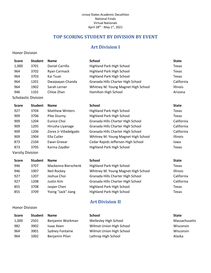# **TOP SCORING STUDENT BY DIVISION BY EVENT**

# **Art Division I**

### <span id="page-9-1"></span><span id="page-9-0"></span>Honor Division

| <b>Student</b><br><b>Score</b> | <b>Name</b>      | <b>School</b>                       | <b>State</b>    |
|--------------------------------|------------------|-------------------------------------|-----------------|
| 1,000<br>3701                  | Daniel Carrillo  | <b>Highland Park High School</b>    | Texas           |
| 964<br>3702                    | Ryan Carmack     | <b>Highland Park High School</b>    | Texas           |
| 964<br>3703                    | Kai Tsuei        | Highland Park High School           | Texas           |
| 964<br>1201                    | Dwaipayan Chanda | Granada Hills Charter High School   | California      |
| 964<br>1902                    | Sarah Lerner     | Whitney M. Young Magnet High School | <b>Illinois</b> |
| 946<br>1101                    | Chloe Zhan       | Hamilton High School                | Arizona         |
| <b>Scholastic Division</b>     |                  |                                     |                 |
| Student<br>Score               | <b>Name</b>      | School                              | State           |

| <b>Score</b> | <b>Student</b> | <b>Name</b>            | <b>School</b>                       | <b>State</b> |
|--------------|----------------|------------------------|-------------------------------------|--------------|
| 927          | 3704           | <b>Matthew Winters</b> | Highland Park High School           | Texas        |
| 909          | 3706           | Pike Dzurny            | Highland Park High School           | Texas        |
| 909          | 1204           | Eunice Choi            | Granada Hills Charter High School   | California   |
| 909          | 1205           | Hirusha Liyanage       | Granada Hills Charter High School   | California   |
| 909          | 1206           | Zorex Jr Villadelgado  | Granada Hills Charter High School   | California   |
| 909          | 1904           | Ella Cutler            | Whitney M. Young Magnet High School | Illinois     |
| 873          | 2104           | Ewan Greear            | Cedar Rapids Jefferson High School  | Iowa         |
| 873          | 3705           | Karina Zaydler         | Highland Park High School           | Texas        |
|              |                |                        |                                     |              |

Varsity Division

| <b>Score</b> | <b>Student</b> | <b>Name</b>         | <b>School</b>                       | <b>State</b> |
|--------------|----------------|---------------------|-------------------------------------|--------------|
| 946          | 3707           | Mackenna Bierschenk | Highland Park High School           | Texas        |
| 946          | 1907           | Neil Rockey         | Whitney M. Young Magnet High School | Illinois     |
| 927          | 1207           | Joshua Choi         | Granada Hills Charter High School   | California   |
| 927          | 1208           | Justin Kim          | Granada Hills Charter High School   | California   |
| 855          | 3708           | Jasper Chen         | Highland Park High School           | Texas        |
| 855          | 3709           | Yixing "Jack" Jiang | <b>Highland Park High School</b>    | Texas        |
|              |                |                     |                                     |              |

### <span id="page-9-2"></span>Honor Division

# **Art Division II**

| <b>Score</b> | <b>Student</b> | <b>Name</b>      | School                   | <b>State</b>  |
|--------------|----------------|------------------|--------------------------|---------------|
| 1,000        | 2501           | Benjamin Workman | Wellesley High School    | Massachusetts |
| 982          | 3902           | Isaac Keen       | Wilmot Union High School | Wisconsin     |
| 964          | 3901           | Sydney Fontaine  | Wilmot Union High School | Wisconsin     |
| 964          | 1002           | Benjamin Pilon   | Lathrop High School      | Alaska        |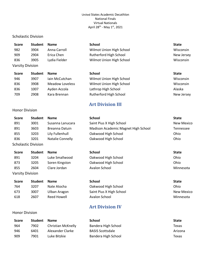### Scholastic Division

<span id="page-10-0"></span>Honor Division

| Score                   | <b>Student</b> | <b>Name</b>   | <b>School</b>            | <b>State</b> |
|-------------------------|----------------|---------------|--------------------------|--------------|
| 982                     | 3904           | Anna Carroll  | Wilmot Union High School | Wisconsin    |
| 909                     | 2904           | Erica Chen    | Rutherford High School   | New Jersey   |
| 836                     | 3905           | Lydia Fielder | Wilmot Union High School | Wisconsin    |
| <b>Varsity Division</b> |                |               |                          |              |

|      | <b>Name</b>            | <b>School</b>            | <b>State</b> |
|------|------------------------|--------------------------|--------------|
| 3907 | Jain McCutchan         | Wilmot Union High School | Wisconsin    |
| 3908 | <b>Meadow Loveless</b> | Wilmot Union High School | Wisconsin    |
| 1007 | Ayden Accola           | Lathrop High School      | Alaska       |
| 2908 | Kara Brennan           | Rutherford High School   | New Jersey   |
|      | <b>Student</b>         |                          |              |

# **Art Division III**

| <b>Score</b>          | <b>Student</b>             | <b>Name</b>      | <b>School</b>                       | <b>State</b> |
|-----------------------|----------------------------|------------------|-------------------------------------|--------------|
| 891                   | 3001                       | Susanna Lanucara | Saint Pius X High School            | New Mexico   |
| 891                   | 3603                       | Breanna Datuin   | Madison Academic Magnet High School | Tennessee    |
| 855                   | 3203                       | Lily Fullenhull  | Oakwood High School                 | Ohio         |
| 836                   | 3201                       | Natalie Connelly | Oakwood High School                 | Ohio         |
|                       | <b>Scholastic Division</b> |                  |                                     |              |
| <b>Score</b>          | <b>Student</b>             | <b>Name</b>      | <b>School</b>                       | <b>State</b> |
| 891                   | 3204                       | Luke Smallwood   | Oakwood High School                 | Ohio         |
| 873                   | 3205                       | Soren Kingston   | Oakwood High School                 | Ohio         |
| 855                   | 2604                       | Clare Jordan     | Avalon School                       | Minnesota    |
| Varsity Division      |                            |                  |                                     |              |
| <b>Score</b>          | <b>Student</b>             | <b>Name</b>      | <b>School</b>                       | <b>State</b> |
| 764                   | 3207                       | Nate Atocha      | Oakwood High School                 | Ohio         |
| 673                   | 3007                       | Ulban Aragon     | Saint Pius X High School            | New Mexico   |
| 618                   | 2607                       | Reed Howell      | Avalon School                       | Minnesota    |
|                       |                            |                  | <b>Art Division IV</b>              |              |
| <b>Honor Division</b> |                            |                  |                                     |              |

<span id="page-10-1"></span>

| <b>Score</b> | <b>Student</b> | <b>Name</b>        | School                  | <b>State</b> |
|--------------|----------------|--------------------|-------------------------|--------------|
| 964          | 7902           | Christian McKnelly | Bandera High School     | Texas        |
| 946          | 6401           | Alexander Clarke   | <b>BASIS Scottsdale</b> | Arizona      |
| 909          | 7901           | Luke Bitzkie       | Bandera High School     | Texas        |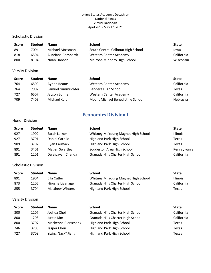### Scholastic Division

| <b>Score</b> | <b>Student</b> | <b>Name</b>        | <b>School</b>                     | <b>State</b> |
|--------------|----------------|--------------------|-----------------------------------|--------------|
| 891          | 7004           | Michael Mossman    | South Central Calhoun High School | lowa         |
| 818          | 6504           | Aubriana Bernhardt | Western Center Academy            | California   |
| 800          | 8104           | Noah Hanson        | Melrose-Mindoro High School       | Wisconsin    |

### Varsity Division

| <b>Score</b> | <b>Student</b> | <b>Name</b>        | School                           | <b>State</b> |
|--------------|----------------|--------------------|----------------------------------|--------------|
| 764          | 6509           | Ayden Reams        | Western Center Academy           | California   |
| 764          | 7907           | Samuel Nimmrichter | Bandera High School              | Texas        |
| 727          | 6507           | Jayson Bunnell     | <b>Western Center Academy</b>    | California   |
| 709          | 7409           | Michael Kult       | Mount Michael Benedictine School | Nebraska     |

# **Economics Division I**

### <span id="page-11-0"></span>Honor Division

| <b>Score</b> | <b>Student</b> | <b>Name</b>           | <b>School</b>                       | <b>State</b> |
|--------------|----------------|-----------------------|-------------------------------------|--------------|
| 927          | 1902           | Sarah Lerner          | Whitney M. Young Magnet High School | Illinois     |
| 927          | 3701           | Daniel Carrillo       | <b>Highland Park High School</b>    | Texas        |
| 909          | 3702           | Ryan Carmack          | Highland Park High School           | Texas        |
| 891          | 3401           | <b>Magen Swartley</b> | Souderton Area High School          | Pennsylvania |
| 891          | 1201           | Dwaipayan Chanda      | Granada Hills Charter High School   | California   |

### Scholastic Division

| <b>Score</b> | <b>Student</b> | <b>Name</b>            | School                              | <b>State</b>    |
|--------------|----------------|------------------------|-------------------------------------|-----------------|
| 891          | 1904           | Ella Cutler            | Whitney M. Young Magnet High School | <b>Illinois</b> |
| 873          | 1205           | Hirusha Liyanage       | Granada Hills Charter High School   | California      |
| 855          | 3704           | <b>Matthew Winters</b> | Highland Park High School           | Texas           |

| <b>Score</b> | <b>Student</b> | <b>Name</b>         | <b>School</b>                     | <b>State</b> |
|--------------|----------------|---------------------|-----------------------------------|--------------|
| 800          | 1207           | Joshua Choi         | Granada Hills Charter High School | California   |
| 800          | 1208           | Justin Kim          | Granada Hills Charter High School | California   |
| 800          | 3707           | Mackenna Bierschenk | <b>Highland Park High School</b>  | Texas        |
| 746          | 3708           | Jasper Chen         | <b>Highland Park High School</b>  | Texas        |
| 727          | 3709           | Yixing "Jack" Jiang | Highland Park High School         | Texas        |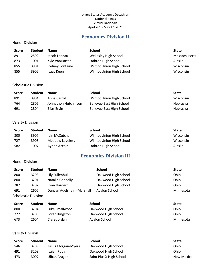# **Economics Division II**

### <span id="page-12-0"></span>Honor Division

| Score | <b>Student</b> | <b>Name</b>            | School                   | <b>State</b>  |
|-------|----------------|------------------------|--------------------------|---------------|
| 891   | 2502           | Jacob Landau           | Wellesley High School    | Massachusetts |
| 873   | 1001           | Kyle VanHatten         | Lathrop High School      | Alaska        |
| 855   | 3901           | <b>Sydney Fontaine</b> | Wilmot Union High School | Wisconsin     |
| 855   | 3902           | Isaac Keen             | Wilmot Union High School | Wisconsin     |

### Scholastic Division

| <b>Score</b> | <b>Student</b> | <b>Name</b>          | School                    | State           |
|--------------|----------------|----------------------|---------------------------|-----------------|
| 891          | 3904           | Anna Carroll         | Wilmot Union High School  | Wisconsin       |
| 764          | 2805           | Johnathon Hutchinson | Bellevue East High School | Nebraska        |
| 691          | 2804           | Elias Ervin          | Bellevue East High School | <b>Nebraska</b> |

### Varsity Division

| <b>Score</b> | <b>Student</b> | <b>Name</b>     | <b>School</b>            | <b>State</b> |
|--------------|----------------|-----------------|--------------------------|--------------|
| 800          | 3907           | Jain McCutchan  | Wilmot Union High School | Wisconsin    |
| 727          | 3908           | Meadow Loveless | Wilmot Union High School | Wisconsin    |
| 582          | 1007           | Ayden Accola    | Lathrop High School      | Alaska       |

# **Economics Division III**

### <span id="page-12-1"></span>Honor Division

| <b>Score</b>               | <b>Student</b> | <b>Name</b>               | <b>School</b>       | <b>State</b> |
|----------------------------|----------------|---------------------------|---------------------|--------------|
| 800                        | 3203           | Lily Fullenhull           | Oakwood High School | Ohio         |
| 800                        | 3201           | <b>Natalie Connelly</b>   | Oakwood High School | Ohio         |
| 782                        | 3202           | Evan Hardern              | Oakwood High School | Ohio         |
| 691                        | 2602           | Duncan Adelsheim-Marshall | Avalon School       | Minnesota    |
| <b>Scholastic Division</b> |                |                           |                     |              |

| <b>Score</b> | <b>Student</b> | <b>Name</b>    | School              | <b>State</b> |
|--------------|----------------|----------------|---------------------|--------------|
| 800          | 3204           | Luke Smallwood | Oakwood High School | Ohio         |
| 727          | 3205           | Soren Kingston | Oakwood High School | Ohio         |
| 673          | 2604           | Clare Jordan   | Avalon School       | Minnesota    |

| <b>Score</b> | <b>Student</b> | <b>Name</b>         | School                   | <b>State</b>      |
|--------------|----------------|---------------------|--------------------------|-------------------|
| 546          | 3209           | Julius Morgan-Myers | Oakwood High School      | Ohio              |
| 491          | 3208           | Isaiah Rudv         | Oakwood High School      | Ohio              |
| 473          | 3007           | Ulban Aragon        | Saint Pius X High School | <b>New Mexico</b> |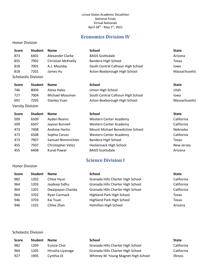# **Economics Division IV**

### <span id="page-13-0"></span>Honor Division

| <b>Score</b>            | <b>Student</b>             | <b>Name</b>         | <b>School</b>                     | <b>State</b>  |
|-------------------------|----------------------------|---------------------|-----------------------------------|---------------|
| 873                     | 6401                       | Alexander Clarke    | <b>BASIS Scottsdale</b>           | Arizona       |
| 855                     | 7902                       | Christian McKnelly  | Bandera High School               | Texas         |
| 818                     | 7001                       | A.J. Maulsby        | South Central Calhoun High School | Iowa          |
| 818                     | 7201                       | James Hu            | Acton-Boxborough High School      | Massachusetts |
|                         | <b>Scholastic Division</b> |                     |                                   |               |
| <b>Score</b>            | <b>Student</b>             | <b>Name</b>         | <b>School</b>                     | <b>State</b>  |
| 746                     | 8004                       | Alexa Hales         | Union High School                 | Utah          |
| 727                     | 7004                       | Michael Mossman     | South Central Calhoun High School | Iowa          |
| 691                     | 7205                       | <b>Stanley Yuan</b> | Acton-Boxborough High School      | Massachusetts |
| <b>Varsity Division</b> |                            |                     |                                   |               |
| <b>Score</b>            | <b>Student</b>             | <b>Name</b>         | <b>School</b>                     | <b>State</b>  |
| 50Q                     | 650Q                       | Ayden Reams         | Wastarn Cantar Aradamy            | California    |

| 509 | 6509 | Ayden Reams          | Western Center Academy           | California |
|-----|------|----------------------|----------------------------------|------------|
| 509 | 6507 | Jayson Bunnell       | <b>Western Center Academy</b>    | California |
| 473 | 7408 | <b>Andrew Hartin</b> | Mount Michael Benedictine School | Nebraska   |
| 473 | 6508 | Sophia Carver        | Western Center Academy           | California |
| 473 | 7907 | Samuel Nimmrichter   | Bandera High School              | Texas      |
| 455 | 7507 | Christopher Veloz    | Hackensack High School           | New Jersey |
| 455 | 6408 | <b>Kunal Pawar</b>   | <b>BASIS Scottsdale</b>          | Arizona    |

# **Science Division I**

| Score | <b>Student</b> | <b>Name</b>      | <b>School</b>                     | <b>State</b> |
|-------|----------------|------------------|-----------------------------------|--------------|
| 982   | 1202           | Chloe Hyun       | Granada Hills Charter High School | California   |
| 964   | 1203           | Jasdeep Sidhu    | Granada Hills Charter High School | California   |
| 964   | 1201           | Dwaipayan Chanda | Granada Hills Charter High School | California   |
| 964   | 3702           | Ryan Carmack     | Highland Park High School         | Texas        |
| 946   | 3703           | Kai Tsuei        | <b>Highland Park High School</b>  | Texas        |
| 946   | 1101           | Chloe Zhan       | Hamilton High School              | Arizona      |
|       |                |                  |                                   |              |

### Scholastic Division

<span id="page-13-1"></span>Honor Division

| Score | <b>Student</b> | <b>Name</b>      | <b>School</b>                       | <b>State</b>    |
|-------|----------------|------------------|-------------------------------------|-----------------|
| 982   | 1204           | Eunice Choi      | Granada Hills Charter High School   | California      |
| 964   | 1205           | Hirusha Liyanage | Granada Hills Charter High School   | California      |
| 927   | 1905           | Cynthia Di       | Whitney M. Young Magnet High School | <b>Illinois</b> |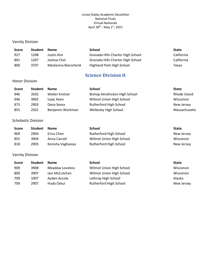### Varsity Division

| <b>Score</b> | <b>Student</b> | <b>Name</b>         | School                            | <b>State</b> |
|--------------|----------------|---------------------|-----------------------------------|--------------|
| 927          | 1208           | Justin Kim          | Granada Hills Charter High School | California   |
| 891          | 1207           | Joshua Choi         | Granada Hills Charter High School | California   |
| 800          | 3707           | Mackenna Bierschenk | Highland Park High School         | Texas        |

# **Science Division II**

### <span id="page-14-0"></span>Honor Division

| <b>Score</b> | <b>Student</b> | <b>Name</b>      | School                        | <b>State</b>  |
|--------------|----------------|------------------|-------------------------------|---------------|
| 946          | 3502           | Walter Kretzer   | Bishop Hendricken High School | Rhode Island  |
| 946          | 3902           | Isaac Keen       | Wilmot Union High School      | Wisconsin     |
| 873          | 2903           | Dana Serea       | <b>Rutherford High School</b> | New Jersey    |
| 855          | 2501           | Benjamin Workman | Wellesley High School         | Massachusetts |

### Scholastic Division

| Score | <b>Student</b> | <b>Name</b>       | <b>School</b>            | <b>State</b> |
|-------|----------------|-------------------|--------------------------|--------------|
| 909   | 2904           | Erica Chen        | Rutherford High School   | New Jersey   |
| 855   | 3904           | Anna Carroll      | Wilmot Union High School | Wisconsin    |
| 818   | 2905           | Kenisha Vaghasiya | Rutherford High School   | New Jersey   |

| <b>Score</b> | <b>Student</b> | <b>Name</b>     | <b>School</b>            | <b>State</b> |
|--------------|----------------|-----------------|--------------------------|--------------|
| 909          | 3908           | Meadow Loveless | Wilmot Union High School | Wisconsin    |
| 800          | 3907           | Jain McCutchan  | Wilmot Union High School | Wisconsin    |
| 709          | 1007           | Ayden Accola    | Lathrop High School      | Alaska       |
| 709          | 2907           | Huda Oskui      | Rutherford High School   | New Jersey   |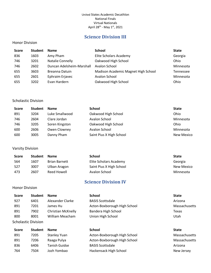# **Science Division III**

### <span id="page-15-0"></span>Honor Division

| <b>Score</b> | <b>Student</b> | <b>Name</b>               | <b>School</b>                       | <b>State</b> |
|--------------|----------------|---------------------------|-------------------------------------|--------------|
| 836          | 1603           | Amy Pham                  | Elite Scholars Academy              | Georgia      |
| 746          | 3201           | <b>Natalie Connelly</b>   | Oakwood High School                 | Ohio         |
| 746          | 2602           | Duncan Adelsheim-Marshall | Avalon School                       | Minnesota    |
| 655          | 3603           | Breanna Datuin            | Madison Academic Magnet High School | Tennessee    |
| 655          | 2601           | Ephraim Erjavec           | Avalon School                       | Minnesota    |
| 655          | 3202           | Evan Hardern              | Oakwood High School                 | Ohio         |

### Scholastic Division

| <b>Score</b> | <b>Student</b> | <b>Name</b>    | <b>School</b>            | <b>State</b>      |
|--------------|----------------|----------------|--------------------------|-------------------|
| 891          | 3204           | Luke Smallwood | Oakwood High School      | Ohio              |
| 746          | 2604           | Clare Jordan   | Avalon School            | Minnesota         |
| 746          | 3205           | Soren Kingston | Oakwood High School      | Ohio              |
| 600          | 2606           | Owen Clowney   | Avalon School            | Minnesota         |
| 600          | 3005           | Danny Pham     | Saint Pius X High School | <b>New Mexico</b> |

Varsity Division

| <b>Score</b> | <b>Student</b> | <b>Name</b>          | School                   | <b>State</b> |
|--------------|----------------|----------------------|--------------------------|--------------|
| 564          | 1607           | <b>Brian Barnett</b> | Elite Scholars Academy   | Georgia      |
| 527          | 3007           | Ulban Aragon         | Saint Pius X High School | New Mexico   |
| 473          | 2607           | Reed Howell          | Avalon School            | Minnesota    |

# **Science Division IV**

<span id="page-15-1"></span>Honor Division

| Score | <b>Student</b>             | <b>Name</b>        | <b>School</b>                | <b>State</b>  |
|-------|----------------------------|--------------------|------------------------------|---------------|
| 927   | 6401                       | Alexander Clarke   | <b>BASIS Scottsdale</b>      | Arizona       |
| 891   | 7201                       | James Hu           | Acton-Boxborough High School | Massachusetts |
| 891   | 7902                       | Christian McKnelly | Bandera High School          | Texas         |
| 800   | 8001                       | William Meacham    | Union High School            | Utah          |
|       | <b>Scholastic Division</b> |                    |                              |               |

| Score | <b>Student</b> | <b>Name</b>          | <b>School</b>                | <b>State</b> |
|-------|----------------|----------------------|------------------------------|--------------|
| 891   | 7205           | <b>Stanley Yuan</b>  | Acton-Boxborough High School | Massachus    |
| 891   | 7206           | Raaga Pulya          | Acton-Boxborough High School | Massachus    |
| 836   | 6406           | <b>Tanish Guidse</b> | <b>BASIS Scottsdale</b>      | Arizona      |
| 764   | 7504           | Jozh Yombao          | Hackensack High School       | New Jersey   |

Massachusetts Massachusetts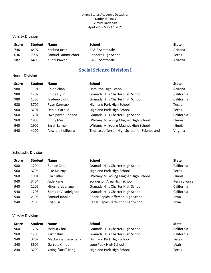### Varsity Division

| <b>Score</b> | <b>Student</b> | <b>Name</b>        | School                  | State   |
|--------------|----------------|--------------------|-------------------------|---------|
| 746          | 6407           | Krishna Jasthi     | <b>BASIS Scottsdale</b> | Arizona |
| 636          | 7907           | Samuel Nimmrichter | Bandera High School     | Texas   |
| 582          | 6408           | Kunal Pawar        | <b>BASIS Scottsdale</b> | Arizona |

# **Social Science Division I**

### <span id="page-16-0"></span>Honor Division

| <b>Student</b> | <b>Name</b>       | <b>School</b>                                | <b>State</b> |
|----------------|-------------------|----------------------------------------------|--------------|
| 1101           | Chloe Zhan        | Hamilton High School                         | Arizona      |
| 1202           | Chloe Hyun        | Granada Hills Charter High School            | California   |
| 1203           | Jasdeep Sidhu     | Granada Hills Charter High School            | California   |
| 3702           | Ryan Carmack      | Highland Park High School                    | Texas        |
| 3701           | Daniel Carrillo   | Highland Park High School                    | Texas        |
| 1201           | Dwaipayan Chanda  | Granada Hills Charter High School            | California   |
| 1903           | Cindy Mei         | Whitney M. Young Magnet High School          | Illinois     |
| 1902           | Sarah Lerner      | Whitney M. Young Magnet High School          | Illinois     |
| 4102           | Anwitha Kollipara | Thomas Jefferson High School for Science and | Virginia     |
|                |                   |                                              |              |

### Scholastic Division

| <b>Score</b> | <b>Student</b> | <b>Name</b>           | <b>School</b>                       | <b>State</b>    |
|--------------|----------------|-----------------------|-------------------------------------|-----------------|
| 980          | 1204           | Eunice Choi           | Granada Hills Charter High School   | California      |
| 960          | 3706           | Pike Dzurny           | Highland Park High School           | Texas           |
| 960          | 1904           | Ella Cutler           | Whitney M. Young Magnet High School | <b>Illinois</b> |
| 940          | 3404           | Jude Kane             | Souderton Area High School          | Pennsylvania    |
| 940          | 1205           | Hirusha Liyanage      | Granada Hills Charter High School   | California      |
| 940          | 1206           | Zorex Jr Villadelgado | Granada Hills Charter High School   | California      |
| 940          | 2105           | Samuel Jahnke         | Cedar Rapids Jefferson High School  | Iowa            |
| 940          | 2106           | Brian Lu              | Cedar Rapids Jefferson High School  | lowa            |

| <b>Score</b> | <b>Student</b> | <b>Name</b>         | <b>School</b>                     | <b>State</b> |
|--------------|----------------|---------------------|-----------------------------------|--------------|
| 960          | 1207           | Joshua Choi         | Granada Hills Charter High School | California   |
| 960          | 1208           | Justin Kim          | Granada Hills Charter High School | California   |
| 940          | 3707           | Mackenna Bierschenk | <b>Highland Park High School</b>  | Texas        |
| 840          | 3807           | Garrett Kimber      | Lone Peak High School             | Utah         |
| 840          | 3709           | Yixing "Jack" Jiang | Highland Park High School         | Texas        |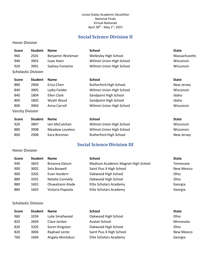# **Social Science Division II**

### <span id="page-17-0"></span>Honor Division

| <b>Score</b>               | <b>Student</b> | <b>Name</b>            | <b>School</b>            | <b>State</b>  |
|----------------------------|----------------|------------------------|--------------------------|---------------|
| 960                        | 2501           | Benjamin Workman       | Wellesley High School    | Massachusetts |
| 940                        | 3902           | Isaac Keen             | Wilmot Union High School | Wisconsin     |
| 920                        | 3901           | <b>Sydney Fontaine</b> | Wilmot Union High School | Wisconsin     |
| <b>Scholastic Division</b> |                |                        |                          |               |
|                            |                |                        |                          |               |
| <b>Score</b>               | <b>Student</b> | <b>Name</b>            | <b>School</b>            | <b>State</b>  |
| 880                        | 2904           | Erica Chen             | Rutherford High School   | New Jersey    |
| 840                        | 3905           | Lydia Fielder          | Wilmot Union High School | Wisconsin     |
| 840                        | 1804           | Ellen Clark            | Sandpoint High School    | Idaho         |

| <b>Score</b> | <b>Student</b> | <b>Name</b>     | <b>School</b>            | <b>State</b> |
|--------------|----------------|-----------------|--------------------------|--------------|
| 920          | 3907           | Jain McCutchan  | Wilmot Union High School | Wisconsin    |
| 880          | 3908           | Meadow Loveless | Wilmot Union High School | Wisconsin    |
| 800          | 2908           | Kara Brennan    | Rutherford High School   | New Jersey   |

800 3904 Anna Carroll Wilmot Union High School Wisconsin

# **Social Science Division III**

### <span id="page-17-1"></span>Honor Division

Varsity Division

| <b>Score</b> | <b>Student</b> | <b>Name</b>             | <b>School</b>                       | <b>State</b>      |
|--------------|----------------|-------------------------|-------------------------------------|-------------------|
| 940          | 3603           | Breanna Datuin          | Madison Academic Magnet High School | <b>Tennessee</b>  |
| 900          | 3002           | Sela Boswell            | Saint Pius X High School            | <b>New Mexico</b> |
| 900          | 3202           | Evan Hardern            | Oakwood High School                 | Ohio              |
| 880          | 3201           | <b>Natalie Connelly</b> | Oakwood High School                 | Ohio              |
| 880          | 1601           | Oluwatooni Alade        | Elite Scholars Academy              | Georgia           |
| 880          | 1602           | Victoria Popoola        | Elite Scholars Academy              | Georgia           |

### Scholastic Division

| <b>Score</b> | <b>Student</b> | <b>Name</b>      | <b>School</b>            | <b>State</b>      |
|--------------|----------------|------------------|--------------------------|-------------------|
| 960          | 3204           | Luke Smallwood   | Oakwood High School      | Ohio              |
| 820          | 2604           | Clare Jordan     | Avalon School            | Minnesota         |
| 820          | 3205           | Soren Kingston   | Oakwood High School      | Ohio              |
| 820          | 3004           | Raphael Lente    | Saint Pius X High School | <b>New Mexico</b> |
| 760          | 1604           | Angela Akintokun | Elite Scholars Academy   | Georgia           |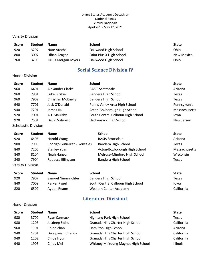### Varsity Division

| <b>Score</b> | <b>Student</b> | <b>Name</b>         | <b>School</b>            | <b>State</b>      |
|--------------|----------------|---------------------|--------------------------|-------------------|
| 920          | 3207           | Nate Atocha         | Oakwood High School      | Ohio              |
| 800          | 3007           | Ulban Aragon        | Saint Pius X High School | <b>New Mexico</b> |
| 760          | 3209           | Julius Morgan-Myers | Oakwood High School      | Ohio              |

# **Social Science Division IV**

### <span id="page-18-0"></span>Honor Division

| <b>Score</b> | <b>Student</b>             | <b>Name</b>               | <b>School</b>                     | <b>State</b>  |
|--------------|----------------------------|---------------------------|-----------------------------------|---------------|
| 960          | 6401                       | Alexander Clarke          | <b>BASIS Scottsdale</b>           | Arizona       |
| 960          | 7901                       | Luke Bitzkie              | Bandera High School               | Texas         |
| 960          | 7902                       | <b>Christian McKnelly</b> | Bandera High School               | Texas         |
| 940          | 7701                       | Jack O'Donald             | Penns Valley Area High School     | Pennsylvania  |
| 940          | 7201                       | James Hu                  | Acton-Boxborough High School      | Massachusetts |
| 920          | 7001                       | A.J. Maulsby              | South Central Calhoun High School | Iowa          |
| 920          | 7501                       | David Valarezo            | Hackensack High School            | New Jersey    |
|              | <b>Scholastic Division</b> |                           |                                   |               |

| Score                   | <b>Student</b> | <b>Name</b>                  | <b>School</b>                | <b>State</b>  |
|-------------------------|----------------|------------------------------|------------------------------|---------------|
| 920                     | 6405           | Harold Wang                  | <b>BASIS Scottsdale</b>      | Arizona       |
| 900                     | 7905           | Rodrigo Gutierrez - Gonzales | Bandera High School          | Texas         |
| 840                     | 7205           | <b>Stanley Yuan</b>          | Acton-Boxborough High School | Massachusetts |
| 840                     | 8104           | Noah Hanson                  | Melrose-Mindoro High School  | Wisconsin     |
| 840                     | 7904           | Rebecca Ellingson            | Bandera High School          | Texas         |
| <i>Marcity</i> Division |                |                              |                              |               |

| <b>Varsity Division</b> |
|-------------------------|
|                         |

| <b>Score</b> | <b>Student</b> | <b>Name</b>        | School                            | <b>State</b> |
|--------------|----------------|--------------------|-----------------------------------|--------------|
| 920          | 7907           | Samuel Nimmrichter | Bandera High School               | Texas        |
| 840          | 7009           | Parker Pagel       | South Central Calhoun High School | Iowa         |
| 820          | 6509           | Ayden Reams        | Western Center Academy            | California   |

# **Literature Division I**

### <span id="page-18-1"></span>Honor Division

| <b>Score</b> | <b>Student</b> | <b>Name</b>      | <b>School</b>                       | <b>State</b> |
|--------------|----------------|------------------|-------------------------------------|--------------|
| 980          | 3702           | Ryan Carmack     | Highland Park High School           | Texas        |
| 980          | 1203           | Jasdeep Sidhu    | Granada Hills Charter High School   | California   |
| 960          | 1101           | Chloe Zhan       | Hamilton High School                | Arizona      |
| 940          | 1201           | Dwaipayan Chanda | Granada Hills Charter High School   | California   |
| 940          | 1202           | Chloe Hyun       | Granada Hills Charter High School   | California   |
| 940          | 1903           | Cindy Mei        | Whitney M. Young Magnet High School | Illinois     |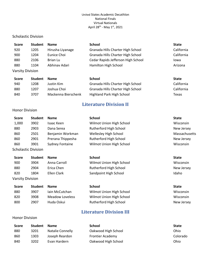### Scholastic Division

| <b>Score</b>            | <b>Student</b> | <b>Name</b>      | <b>School</b>                      | <b>State</b> |
|-------------------------|----------------|------------------|------------------------------------|--------------|
| 920                     | 1205           | Hirusha Liyanage | Granada Hills Charter High School  | California   |
| 900                     | 1204           | Eunice Choi      | Granada Hills Charter High School  | California   |
| 880                     | 2106           | Brian Lu         | Cedar Rapids Jefferson High School | Iowa         |
| 880                     | 1104           | Abhinav Adari    | Hamilton High School               | Arizona      |
| <b>Varsity Division</b> |                |                  |                                    |              |

| <b>Score</b> | <b>Student</b> | <b>Name</b>         | School                            | <b>State</b> |
|--------------|----------------|---------------------|-----------------------------------|--------------|
| 940          | 1208           | Justin Kim          | Granada Hills Charter High School | California   |
| 880          | 1207           | Joshua Choi         | Granada Hills Charter High School | California   |
| 840          | 3707           | Mackenna Bierschenk | Highland Park High School         | Texas        |

# **Literature Division II**

### <span id="page-19-0"></span>Honor Division

<span id="page-19-1"></span>Honor Division

| <b>Score</b>               | <b>Student</b> | <b>Name</b>            | <b>School</b>                | <b>State</b>  |
|----------------------------|----------------|------------------------|------------------------------|---------------|
| 1,000                      | 3902           | Isaac Keen             | Wilmot Union High School     | Wisconsin     |
| 880                        | 2903           | Dana Serea             | Rutherford High School       | New Jersey    |
| 860                        | 2501           | Benjamin Workman       | <b>Wellesley High School</b> | Massachusetts |
| 860                        | 2901           | Prerana Thippesha      | Rutherford High School       | New Jersey    |
| 860                        | 3901           | <b>Sydney Fontaine</b> | Wilmot Union High School     | Wisconsin     |
| <b>Scholastic Division</b> |                |                        |                              |               |
| <b>Score</b>               | <b>Student</b> | <b>Name</b>            | <b>School</b>                | <b>State</b>  |
| 900                        | 3904           | Anna Carroll           | Wilmot Union High School     | Wisconsin     |
| 880                        | 2904           | Erica Chen             | Rutherford High School       | New Jersey    |
| 820                        | 1804           | Ellen Clark            | Sandpoint High School        | Idaho         |
| Varsity Division           |                |                        |                              |               |
| <b>Score</b>               | <b>Student</b> | <b>Name</b>            | <b>School</b>                | <b>State</b>  |

| 880 | 3907 | lain McCutchan  | Wilmot Union High School | Wisconsin  |
|-----|------|-----------------|--------------------------|------------|
| 820 | 3908 | Meadow Loveless | Wilmot Union High School | Wisconsin  |
| 800 | 2907 | Huda Oskui      | Rutherford High School   | New Jersey |

# **Literature Division III**

| Score | <b>Student</b> | <b>Name</b>      | School                  | <b>State</b> |
|-------|----------------|------------------|-------------------------|--------------|
| 880   | 3201           | Natalie Connelly | Oakwood High School     | Ohio         |
| 860   | 1303           | Joseph Reardon   | <b>Frontier Academy</b> | Colorado     |
| 840   | 3202           | Evan Hardern     | Oakwood High School     | Ohio         |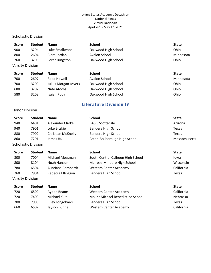### Scholastic Division

| <b>Score</b>            | <b>Student</b> | <b>Name</b>    | <b>School</b>       | <b>State</b> |
|-------------------------|----------------|----------------|---------------------|--------------|
| 900                     | 3204           | Luke Smallwood | Oakwood High School | Ohio         |
| 800                     | 2604           | Clare Jordan   | Avalon School       | Minnesota    |
| 760                     | 3205           | Soren Kingston | Oakwood High School | Ohio         |
| <b>Varsity Division</b> |                |                |                     |              |
| <b>Score</b>            | <b>Student</b> | <b>Name</b>    | <b>School</b>       | <b>State</b> |
| 700                     | 2607           | Reed Howell    | Avalon School       | Minnesota    |

| , oo | <u>LUU I</u> |                     | , ,,,,,,,,,,,,,,,,,, | --------------- |
|------|--------------|---------------------|----------------------|-----------------|
| 700  | 3209         | Julius Morgan-Myers | Oakwood High School  | Ohio            |
| 680  | 3207         | Nate Atocha         | Oakwood High School  | Ohio            |
| 580  | 3208         | Isaiah Rudy         | Oakwood High School  | Ohio            |

# **Literature Division IV**

### <span id="page-20-0"></span>Honor Division

| <b>Score</b> | <b>Student</b>             | <b>Name</b>               | <b>School</b>                | <b>State</b>  |
|--------------|----------------------------|---------------------------|------------------------------|---------------|
| 940          | 6401                       | Alexander Clarke          | <b>BASIS Scottsdale</b>      | Arizona       |
| 940          | 7901                       | Luke Bitzkie              | Bandera High School          | Texas         |
| 880          | 7902                       | <b>Christian McKnelly</b> | Bandera High School          | Texas         |
| 860          | 7201                       | James Hu                  | Acton-Boxborough High School | Massachusetts |
|              | <b>Scholastic Division</b> |                           |                              |               |
| $C_{max}$    | $C+1$                      | <b>Nomes</b>              | Calcado                      | $C++-$        |

| <b>Score</b>            | <b>Student</b> | <b>Name</b>        | <b>School</b>                     | <b>State</b> |
|-------------------------|----------------|--------------------|-----------------------------------|--------------|
| 800                     | 7004           | Michael Mossman    | South Central Calhoun High School | Iowa         |
| 800                     | 8104           | Noah Hanson        | Melrose-Mindoro High School       | Wisconsin    |
| 780                     | 6504           | Aubriana Bernhardt | Western Center Academy            | California   |
| 760                     | 7904           | Rebecca Ellingson  | Bandera High School               | Texas        |
| <b>Varsity Division</b> |                |                    |                                   |              |

| <b>Score</b> | <b>Student</b> | <b>Name</b>      | <b>School</b>                    | <b>State</b> |
|--------------|----------------|------------------|----------------------------------|--------------|
| 720          | 6509           | Ayden Reams      | Western Center Academy           | California   |
| 720          | 7409           | Michael Kult     | Mount Michael Benedictine School | Nebraska     |
| 700          | 7909           | Riley Longobardi | Bandera High School              | Texas        |
| 660          | 6507           | Jayson Bunnell   | <b>Western Center Academy</b>    | California   |
|              |                |                  |                                  |              |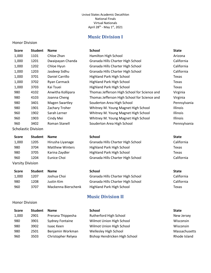# **Music Division I**

### <span id="page-21-0"></span>Honor Division

<span id="page-21-1"></span>Honor Division

**Score Student Name** 

### **Name School School State State State**

| 1,000                      | 1101 | Chloe Zhan            | Hamilton High School                         | Arizona         |
|----------------------------|------|-----------------------|----------------------------------------------|-----------------|
| 1,000                      | 1201 | Dwaipayan Chanda      | Granada Hills Charter High School            | California      |
| 1,000                      | 1202 | Chloe Hyun            | Granada Hills Charter High School            | California      |
| 1,000                      | 1203 | Jasdeep Sidhu         | Granada Hills Charter High School            | California      |
| 1,000                      | 3701 | Daniel Carrillo       | Highland Park High School                    | Texas           |
| 1,000                      | 3702 | Ryan Carmack          | Highland Park High School                    | Texas           |
| 1,000                      | 3703 | Kai Tsuei             | Highland Park High School                    | Texas           |
| 980                        | 4102 | Anwitha Kollipara     | Thomas Jefferson High School for Science and | Virginia        |
| 980                        | 4103 | Joanna Cheng          | Thomas Jefferson High School for Science and | Virginia        |
| 980                        | 3401 | <b>Magen Swartley</b> | Souderton Area High School                   | Pennsylvania    |
| 980                        | 1901 | Zachary Troher        | Whitney M. Young Magnet High School          | Illinois        |
| 960                        | 1902 | Sarah Lerner          | Whitney M. Young Magnet High School          | <b>Illinois</b> |
| 960                        | 1903 | Cindy Mei             | Whitney M. Young Magnet High School          | <b>Illinois</b> |
| 960                        | 3402 | Roman Stanell         | Souderton Area High School                   | Pennsylvania    |
| <b>Scholastic Division</b> |      |                       |                                              |                 |

### **Score Student Name # Name School School State State** 1,000 1205 Hirusha Liyanage Granada Hills Charter High School California 980 3704 Matthew Winters Highland Park High School 3704 Texas 980 3705 Karina Zaydler Highland Park High School 3705 Karina Zaydler 960 1204 Eunice Choi Granada Hills Charter High School California Varsity Division

### **Score Student # Name School School State State** 1,000 1207 Joshua Choi Granada Hills Charter High School California 980 1208 Justin Kim Granada Hills Charter High School California 960 3707 Mackenna Bierschenk Highland Park High School Texas

# **Music Division II**

| <b>Score</b> | <b>Student</b> | <b>Name</b>        | <b>School</b>                 | <b>State</b>  |
|--------------|----------------|--------------------|-------------------------------|---------------|
| 1,000        | 2901           | Prerana Thippesha  | Rutherford High School        | New Jersey    |
| 980          | 3901           | Sydney Fontaine    | Wilmot Union High School      | Wisconsin     |
| 980          | 3902           | Isaac Keen         | Wilmot Union High School      | Wisconsin     |
| 980          | 2501           | Benjamin Workman   | Wellesley High School         | Massachusetts |
| 960          | 3503           | Christopher Relyea | Bishop Hendricken High School | Rhode Island  |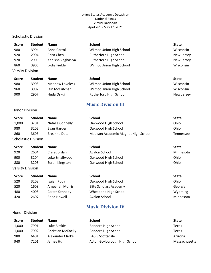### Scholastic Division

<span id="page-22-0"></span>Honor Division

Varsity Division

<span id="page-22-1"></span>Honor Division

| <b>Score</b>     | <b>Student</b> | <b>Name</b>       | <b>School</b>            | <b>State</b> |
|------------------|----------------|-------------------|--------------------------|--------------|
| 980              | 3904           | Anna Carroll      | Wilmot Union High School | Wisconsin    |
| 920              | 2904           | Erica Chen        | Rutherford High School   | New Jersey   |
| 920              | 2905           | Kenisha Vaghasiya | Rutherford High School   | New Jersey   |
| 860              | 3905           | Lydia Fielder     | Wilmot Union High School | Wisconsin    |
| Varsity Division |                |                   |                          |              |

| <b>Score</b> | <b>Student</b> | <b>Name</b>     | School                   | <b>State</b> |
|--------------|----------------|-----------------|--------------------------|--------------|
| 980          | 3908           | Meadow Loveless | Wilmot Union High School | Wisconsin    |
| 960          | 3907           | Jain McCutchan  | Wilmot Union High School | Wisconsin    |
| 900          | 2907           | Huda Oskui      | Rutherford High School   | New Jersey   |

# **Music Division III**

| <b>Score</b> | <b>Student</b>             | <b>Name</b>             | <b>School</b>                       | <b>State</b> |
|--------------|----------------------------|-------------------------|-------------------------------------|--------------|
| 1,000        | 3201                       | <b>Natalie Connelly</b> | Oakwood High School                 | Ohio         |
| 980          | 3202                       | Evan Hardern            | Oakwood High School                 | Ohio         |
| 860          | 3603                       | Breanna Datuin          | Madison Academic Magnet High School | Tennessee    |
|              | <b>Scholastic Division</b> |                         |                                     |              |
| <b>Score</b> | <b>Student</b>             | <b>Name</b>             | <b>School</b>                       | <b>State</b> |
| 920          | 2604                       | Clare Jordan            | Avalon School                       | Minnesota    |
| 900          | 3204                       | Luke Smallwood          | Oakwood High School                 | Ohio         |

880 3205 Soren Kingston Oakwood High School Ohio

| Score | <b>Student</b> | <b>Name</b>    | <b>School</b>          | <b>State</b> |
|-------|----------------|----------------|------------------------|--------------|
| 520   | 3208           | Isaiah Rudy    | Oakwood High School    | Ohio         |
| 520   | 1608           | Ameenah Morris | Elite Scholars Academy | Georgia      |
| 480   | 4008           | Colter Kennedy | Wheatland High School  | Wyoming      |
| 420   | 2607           | Reed Howell    | Avalon School          | Minnesota    |

# **Music Division IV**

| Score | <b>Student</b> | <b>Name</b>        | <b>School</b>                | <b>State</b>  |
|-------|----------------|--------------------|------------------------------|---------------|
| 1,000 | 7901           | Luke Bitzkie       | Bandera High School          | Texas         |
| 1,000 | 7902           | Christian McKnelly | Bandera High School          | Texas         |
| 980   | 6401           | Alexander Clarke   | <b>BASIS Scottsdale</b>      | Arizona       |
| 940   | 7201           | James Hu           | Acton-Boxborough High School | Massachusetts |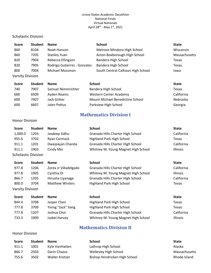### Scholastic Division

| <b>Score</b>     | <b>Student</b> | <b>Name</b>                  | <b>School</b>                     | <b>State</b>  |
|------------------|----------------|------------------------------|-----------------------------------|---------------|
| 860              | 8104           | Noah Hanson                  | Melrose-Mindoro High School       | Wisconsin     |
| 860              | 7205           | <b>Stanley Yuan</b>          | Acton-Boxborough High School      | Massachusetts |
| 820              | 7904           | Rebecca Ellingson            | Bandera High School               | Texas         |
| 820              | 7905           | Rodrigo Gutierrez - Gonzales | Bandera High School               | Texas         |
| 800              | 7004           | Michael Mossman              | South Central Calhoun High School | lowa          |
| Varsity Division |                |                              |                                   |               |

| <b>Score</b> | <b>Student</b> | <b>Name</b>        | School                           | <b>State</b> |
|--------------|----------------|--------------------|----------------------------------|--------------|
| 740          | 7907           | Samuel Nimmrichter | Bandera High School              | Texas        |
| 660          | 6509           | Ayden Reams        | Western Center Academy           | California   |
| 600          | 7407           | Jack Giitter       | Mount Michael Benedictine School | Nebraska     |
| 600          | 6607           | Jalen Pettus       | Parkview High School             | Georgia      |

# **Mathematics Division I**

### <span id="page-23-0"></span>Honor Division

<span id="page-23-1"></span>Honor Division

| <b>Score</b>               | <b>Student</b> | <b>Name</b>      | School                              | <b>State</b>    |
|----------------------------|----------------|------------------|-------------------------------------|-----------------|
| 1,000.0                    | 1203           | Jasdeep Sidhu    | Granada Hills Charter High School   | California      |
| 955.6                      | 3702           | Ryan Carmack     | <b>Highland Park High School</b>    | Texas           |
| 911.1                      | 1201           | Dwaipayan Chanda | Granada Hills Charter High School   | California      |
| 911.1                      | 1903           | Cindy Mei        | Whitney M. Young Magnet High School | <b>Illinois</b> |
| <b>Scholastic Division</b> |                |                  |                                     |                 |

| <b>Score</b>            | <b>Student</b> | <b>Name</b>            | <b>School</b>                       | <b>State</b>    |
|-------------------------|----------------|------------------------|-------------------------------------|-----------------|
| 977.8                   | 1206           | Zorex Jr Villadelgado  | Granada Hills Charter High School   | California      |
| 977.8                   | 1905           | Cynthia Di             | Whitney M. Young Magnet High School | <b>Illinois</b> |
| 866.7                   | 1205           | Hirusha Liyanage       | Granada Hills Charter High School   | California      |
| 800.0                   | 3704           | <b>Matthew Winters</b> | <b>Highland Park High School</b>    | Texas           |
| <b>Varsity Division</b> |                |                        |                                     |                 |

| Score | <b>Student</b> | <b>Name</b>         | School                              | <b>State</b>    |
|-------|----------------|---------------------|-------------------------------------|-----------------|
| 844.4 | 3708           | Jasper Chen         | Highland Park High School           | Texas           |
| 777.8 | 3709           | Yixing "Jack" Jiang | <b>Highland Park High School</b>    | Texas           |
| 777.8 | 1207           | Joshua Choi         | Granada Hills Charter High School   | California      |
| 733.3 | 1909           | Isabel Harvey       | Whitney M. Young Magnet High School | <b>Illinois</b> |

# **Mathematics Division II**

| <b>Score</b> | <b>Student</b> | <b>Name</b>    | School                        | <b>State</b>  |
|--------------|----------------|----------------|-------------------------------|---------------|
| 911.1        | 1001           | Kyle VanHatten | Lathrop High School           | Alaska        |
| 866.7        | 2503           | Darin Chaoui   | Wellesley High School         | Massachusetts |
| 755.6        | 3502           | Walter Kretzer | Bishop Hendricken High School | Rhode Island  |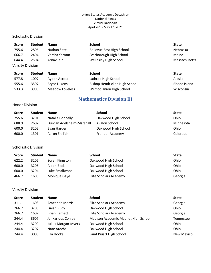### Scholastic Division

| <b>Score</b>            | <b>Student</b> | <b>Name</b>         | <b>School</b>                 | <b>State</b>  |
|-------------------------|----------------|---------------------|-------------------------------|---------------|
| 755.6                   | 2806           | Nathan Sittel       | Bellevue East High School     | Nebraska      |
| 666.7                   | 2404           | Varsha Yarram       | Scarborough High School       | Maine         |
| 644.4                   | 2504           | Arnay Jain          | Wellesley High School         | Massachusetts |
| <b>Varsity Division</b> |                |                     |                               |               |
| <b>Score</b>            | <b>Student</b> | <b>Name</b>         | <b>School</b>                 | <b>State</b>  |
| 577.8                   | 1007           | Ayden Accola        | Lathrop High School           | Alaska        |
| 555.6                   | 3507           | <b>Bryce Lukens</b> | Bishop Hendricken High School | Rhode Island  |

# **Mathematics Division III**

<span id="page-24-0"></span>533.3 3908 Meadow Loveless Wilmot Union High School Nisconsin

### Honor Division

| <b>Score</b> | <b>Student</b> | <b>Name</b>               | <b>School</b>           | <b>State</b> |
|--------------|----------------|---------------------------|-------------------------|--------------|
| 755.6        | 3201           | Natalie Connelly          | Oakwood High School     | Ohio         |
| 688.9        | 2602           | Duncan Adelsheim-Marshall | Avalon School           | Minnesota    |
| 600.0        | 3202           | Evan Hardern              | Oakwood High School     | Ohio         |
| 600.0        | 1301           | Aaron Ehrlich             | <b>Frontier Academy</b> | Colorado     |

### Scholastic Division

| <b>Score</b> | <b>Student</b> | <b>Name</b>    | <b>School</b>          | <b>State</b> |
|--------------|----------------|----------------|------------------------|--------------|
| 622.2        | 3205           | Soren Kingston | Oakwood High School    | Ohio         |
| 600.0        | 3206           | Aiden Beck     | Oakwood High School    | Ohio         |
| 600.0        | 3204           | Luke Smallwood | Oakwood High School    | Ohio         |
| 466.7        | 1605           | Monique Gaye   | Elite Scholars Academy | Georgia      |

| <b>Score</b> | <b>Student</b> | <b>Name</b>                | <b>School</b>                       | <b>State</b>      |
|--------------|----------------|----------------------------|-------------------------------------|-------------------|
| 311.1        | 1608           | Ameenah Morris             | Elite Scholars Academy              | Georgia           |
| 266.7        | 3208           | Isaiah Rudy                | Oakwood High School                 | Ohio              |
| 266.7        | 1607           | <b>Brian Barnett</b>       | Elite Scholars Academy              | Georgia           |
| 244.4        | 3607           | Jahkarious Conley          | Madison Academic Magnet High School | <b>Tennessee</b>  |
| 244.4        | 3209           | <b>Julius Morgan-Myers</b> | Oakwood High School                 | Ohio              |
| 244.4        | 3207           | Nate Atocha                | Oakwood High School                 | Ohio              |
| 244.4        | 3008           | Ella Hooks                 | Saint Pius X High School            | <b>New Mexico</b> |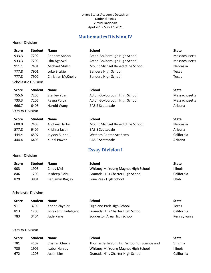# **Mathematics Division IV**

### <span id="page-25-0"></span>Honor Division

| <b>Score</b> | <b>Student</b>             | <b>Name</b>               | <b>School</b>                    | <b>State</b>  |
|--------------|----------------------------|---------------------------|----------------------------------|---------------|
| 933.3        | 7202                       | Poonam Sahoo              | Acton-Boxborough High School     | Massachusetts |
| 933.3        | 7203                       | Isha Agarwal              | Acton-Boxborough High School     | Massachusetts |
| 911.1        | 7401                       | Michael Mullin            | Mount Michael Benedictine School | Nebraska      |
| 777.8        | 7901                       | Luke Bitzkie              | Bandera High School              | Texas         |
| 777.8        | 7902                       | <b>Christian McKnelly</b> | Bandera High School              | Texas         |
|              | <b>Scholastic Division</b> |                           |                                  |               |

| <b>Score</b> | <b>Student</b> | <b>Name</b>         | School                       | <b>State</b>  |
|--------------|----------------|---------------------|------------------------------|---------------|
| 755.6        | 7205           | <b>Stanley Yuan</b> | Acton-Boxborough High School | Massachusetts |
| 733.3        | 7206           | Raaga Pulya         | Acton-Boxborough High School | Massachusetts |
| 666.7        | 6405           | Harold Wang         | <b>BASIS Scottsdale</b>      | Arizona       |

<span id="page-25-1"></span>Honor Division

| <b>Score</b> | <b>Student</b> | <b>Name</b>    | <b>School</b>                    | <b>State</b>    |
|--------------|----------------|----------------|----------------------------------|-----------------|
| 600.0        | 7408           | Andrew Hartin  | Mount Michael Benedictine School | <b>Nebraska</b> |
| 577.8        | 6407           | Krishna Jasthi | <b>BASIS Scottsdale</b>          | Arizona         |
| 444.4        | 6507           | Jayson Bunnell | Western Center Academy           | California      |
| 444.4        | 6408           | Kunal Pawar    | <b>BASIS Scottsdale</b>          | Arizona         |

# **Essay Division I**

| <b>Score</b> | <b>Student</b> | <b>Name</b>     | School                              | <b>State</b>    |
|--------------|----------------|-----------------|-------------------------------------|-----------------|
| 903          | 1903           | Cindy Mei       | Whitney M. Young Magnet High School | <b>Illinois</b> |
| 846          | 1203           | Jasdeep Sidhu   | Granada Hills Charter High School   | California      |
| 829          | 3801           | Benjamin Bagley | Lone Peak High School               | ∪tah            |

Scholastic Division

| Score | <b>Student</b> | <b>Name</b>           | School                            | <b>State</b> |
|-------|----------------|-----------------------|-----------------------------------|--------------|
| 911   | 3705           | Karina Zaydler        | Highland Park High School         | Texas        |
| 813   | 1206           | Zorex Jr Villadelgado | Granada Hills Charter High School | California   |
| 783   | 3404           | Jude Kane             | Souderton Area High School        | Pennsylvania |

| <b>Score</b> | <b>Student</b> | <b>Name</b>     | <b>School</b>                                | <b>State</b>    |
|--------------|----------------|-----------------|----------------------------------------------|-----------------|
| 781          | 4107           | Cristian Clewis | Thomas Jefferson High School for Science and | Virginia        |
| 730          | 1909           | Isabel Harvey   | Whitney M. Young Magnet High School          | <b>Illinois</b> |
| 672          | 1208           | Justin Kim      | Granada Hills Charter High School            | California      |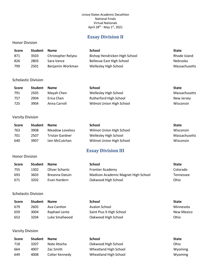# **Essay Division II**

### <span id="page-26-0"></span>Honor Division

| <b>Score</b> | <b>Student</b> | <b>Name</b>        | School                        | <b>State</b>  |
|--------------|----------------|--------------------|-------------------------------|---------------|
| 871          | 3503           | Christopher Relyea | Bishop Hendricken High School | Rhode Island  |
| 826          | 2803           | Sara Vance         | Bellevue East High School     | Nebraska      |
| 799          | 2501           | Benjamin Workman   | Wellesley High School         | Massachusetts |

### Scholastic Division

| <b>Score</b> | <b>Student</b> | <b>Name</b>  | School                   | <b>State</b>  |
|--------------|----------------|--------------|--------------------------|---------------|
| 791          | 2505           | Mayah Chen   | Wellesley High School    | Massachusetts |
| 757          | 2904           | Erica Chen   | Rutherford High School   | New Jersey    |
| 725          | 3904           | Anna Carroll | Wilmot Union High School | Wisconsin     |

### Varsity Division

| <b>Score</b> | <b>Student</b> | <b>Name</b>     | <b>School</b>            | <b>State</b>  |
|--------------|----------------|-----------------|--------------------------|---------------|
| 763          | 3908           | Meadow Loveless | Wilmot Union High School | Wisconsin     |
| 701          | 2507           | Tristan Gardner | Wellesley High School    | Massachusetts |
| 640          | 3907           | Jain McCutchan  | Wilmot Union High School | Wisconsin     |

# **Essay Division III**

### <span id="page-26-1"></span>Honor Division

| <b>Score</b> | <b>Student</b> | <b>Name</b>    | School                              | <b>State</b> |
|--------------|----------------|----------------|-------------------------------------|--------------|
| 755          | 1302           | Oliver Schantz | <b>Frontier Academy</b>             | Colorado     |
| 693          | 3603           | Breanna Datuin | Madison Academic Magnet High School | Tennessee    |
| 671          | 3202           | Evan Hardern   | Oakwood High School                 | Ohio         |

Scholastic Division

| Score | <b>Student</b> | <b>Name</b>    | <b>School</b>            | <b>State</b> |
|-------|----------------|----------------|--------------------------|--------------|
| 679   | 2605           | Ava Cantlon    | Avalon School            | Minnesota    |
| 659   | 3004           | Raphael Lente  | Saint Pius X High School | New Mexico   |
| 653   | 3204           | Luke Smallwood | Oakwood High School      | Ohio         |

| <b>Score</b> | <b>Student</b> | <b>Name</b>    | <b>School</b>         | <b>State</b> |
|--------------|----------------|----------------|-----------------------|--------------|
| 718          | 3207           | Nate Atocha    | Oakwood High School   | Ohio         |
| 664          | 4007           | Zac Smith      | Wheatland High School | Wyoming      |
| 649          | 4008           | Colter Kennedy | Wheatland High School | Wyoming      |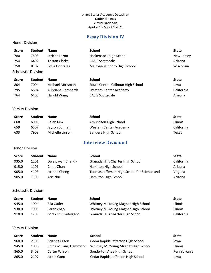# **Essay Division IV**

### <span id="page-27-0"></span>Honor Division

| Score                      | <b>Student</b> | <b>Name</b>           | <b>School</b>               | <b>State</b> |
|----------------------------|----------------|-----------------------|-----------------------------|--------------|
| 780                        | 7503           | Jericho Dizon         | Hackensack High School      | New Jersey   |
| 754                        | 6402           | <b>Tristan Clarke</b> | <b>BASIS Scottsdale</b>     | Arizona      |
| 750                        | 8102           | Sofia Gonzales        | Melrose-Mindoro High School | Wisconsin    |
| <b>Scholastic Division</b> |                |                       |                             |              |
| <b>Score</b>               | <b>Student</b> | <b>Name</b>           | <b>School</b>               | <b>State</b> |

| ----- | -------- |                    | <u>Juliuu</u> l                   | <u>scucc</u> |
|-------|----------|--------------------|-----------------------------------|--------------|
| 804   | 7004     | Michael Mossman    | South Central Calhoun High School | lowa         |
| 795   | 6504     | Aubriana Bernhardt | Western Center Academy            | California   |
| 764   | 6405     | Harold Wang        | <b>BASIS Scottsdale</b>           | Arizona      |

### Varsity Division

| <b>Score</b> | <b>Student</b> | <b>Name</b>     | <b>School</b>          | <b>State</b>    |
|--------------|----------------|-----------------|------------------------|-----------------|
| 668          | 6908           | Caleb Kim       | Amundsen High School   | <b>Illinois</b> |
| 659          | 6507           | Jayson Bunnell  | Western Center Academy | California      |
| 633          | 7908           | Michelle Linson | Bandera High School    | Texas           |

# **Interview Division I**

### <span id="page-27-1"></span>Honor Division

| <b>Score</b> | <b>Student</b> | <b>Name</b>      | School                                       | <b>State</b> |
|--------------|----------------|------------------|----------------------------------------------|--------------|
| 935.0        | 1201           | Dwaipayan Chanda | Granada Hills Charter High School            | California   |
| 915.0        | 1101           | Chloe Zhan       | Hamilton High School                         | Arizona      |
| 905.0        | 4103           | Joanna Cheng     | Thomas Jefferson High School for Science and | Virginia     |
| 905.0        | 1103           | Aris Zhu         | Hamilton High School                         | Arizona      |

### Scholastic Division

| <b>Score</b> | <b>Student</b> | <b>Name</b>           | School                              | <b>State</b>    |
|--------------|----------------|-----------------------|-------------------------------------|-----------------|
| 945.0        | 1904           | Ella Cutler           | Whitney M. Young Magnet High School | <b>Illinois</b> |
| 930.0        | 1906           | Sarah Zhao            | Whitney M. Young Magnet High School | <b>Illinois</b> |
| 910.0        | 1206           | Zorex Jr Villadelgado | Granada Hills Charter High School   | California      |

| Score | <b>Student</b> | <b>Name</b>            | <b>School</b>                       | <b>State</b>    |
|-------|----------------|------------------------|-------------------------------------|-----------------|
| 960.0 | 2109           | Brianna Olson          | Cedar Rapids Jefferson High School  | Iowa            |
| 945.0 | 1908           | Phin (William) Hammond | Whitney M. Young Magnet High School | <b>Illinois</b> |
| 865.0 | 3408           | Carter Wilson          | Souderton Area High School          | Pennsylvania    |
| 865.0 | 2107           | Justin Cano            | Cedar Rapids Jefferson High School  | lowa            |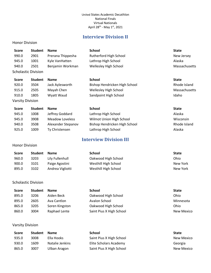# **Interview Division II**

### <span id="page-28-0"></span>Honor Division

| <b>Score</b>               | <b>Student</b> | <b>Name</b>       | <b>School</b>                 | <b>State</b>  |
|----------------------------|----------------|-------------------|-------------------------------|---------------|
| 990.0                      | 2901           | Prerana Thippesha | Rutherford High School        | New Jersey    |
| 945.0                      | 1001           | Kyle VanHatten    | Lathrop High School           | Alaska        |
| 940.0                      | 2501           | Benjamin Workman  | Wellesley High School         | Massachusetts |
| <b>Scholastic Division</b> |                |                   |                               |               |
|                            |                |                   |                               |               |
| <b>Score</b>               | <b>Student</b> | <b>Name</b>       | <b>School</b>                 | <b>State</b>  |
| 920.0                      | 3504           | Jack Aylesworth   | Bishop Hendricken High School | Rhode Island  |
| 915.0                      | 2505           | Mayah Chen        | Wellesley High School         | Massachusetts |
| 910.0                      | 1805           | Wyatt Waud        | Sandpoint High School         | Idaho         |

| Score | <b>Student</b> | <b>Name</b>            | <b>School</b>                 | <b>State</b> |
|-------|----------------|------------------------|-------------------------------|--------------|
| 945.0 | 1008           | Jeffrey Goddard        | Lathrop High School           | Alaska       |
| 945.0 | 3908           | <b>Meadow Loveless</b> | Wilmot Union High School      | Wisconsin    |
| 940.0 | 3508           | Alexander Stepanov     | Bishop Hendricken High School | Rhode Island |
| 925.0 | 1009           | Ty Christensen         | Lathrop High School           | Alaska       |
|       |                |                        |                               |              |

# **Interview Division III**

| <b>Score</b> | <b>Student</b> | <b>Name</b>      | <b>School</b>        | <b>State</b> |
|--------------|----------------|------------------|----------------------|--------------|
| 960.0        | 3203           | Lily Fullenhull  | Oakwood High School  | Ohio         |
| 900.0        | 3101           | Paige Agostini   | Westhill High School | New York     |
| 895.0        | 3102           | Andrea Vigliotti | Westhill High School | New York     |

### Scholastic Division

<span id="page-28-1"></span>Honor Division

| <b>Score</b> | <b>Student</b> | <b>Name</b>    | <b>School</b>            | <b>State</b> |
|--------------|----------------|----------------|--------------------------|--------------|
| 895.0        | 3206           | Aiden Beck     | Oakwood High School      | Ohio         |
| 895.0        | 2605           | Ava Cantlon    | Avalon School            | Minnesota    |
| 865.0        | 3205           | Soren Kingston | Oakwood High School      | Ohio         |
| 860.0        | 3004           | Raphael Lente  | Saint Pius X High School | New Mexico   |

| Score | <b>Student</b> | <b>Name</b>     | <b>School</b>            | <b>State</b> |
|-------|----------------|-----------------|--------------------------|--------------|
| 935.0 | 3008           | Ella Hooks      | Saint Pius X High School | New Mexico   |
| 930.0 | 1609           | Natalie Jenkins | Elite Scholars Academy   | Georgia      |
| 865.0 | 3007           | Ulban Aragon    | Saint Pius X High School | New Mexico   |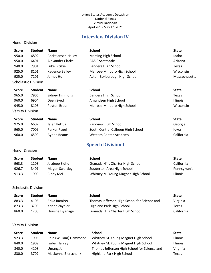# **Interview Division IV**

### <span id="page-29-0"></span>Honor Division

| <b>Score</b>               | <b>Student</b> | <b>Name</b>         | <b>School</b>                | <b>State</b>  |
|----------------------------|----------------|---------------------|------------------------------|---------------|
| 950.0                      | 6802           | Christiansen Hailey | Marsing High School          | Idaho         |
| 950.0                      | 6401           | Alexander Clarke    | <b>BASIS Scottsdale</b>      | Arizona       |
| 940.0                      | 7901           | Luke Bitzkie        | Bandera High School          | Texas         |
| 925.0                      | 8101           | Kadence Bailey      | Melrose-Mindoro High School  | Wisconsin     |
| 925.0                      | 7201           | James Hu            | Acton-Boxborough High School | Massachusetts |
| <b>Scholastic Division</b> |                |                     |                              |               |

| <b>Score</b>     | <b>Student</b> | <b>Name</b>    | <b>School</b>               | <b>State</b>    |
|------------------|----------------|----------------|-----------------------------|-----------------|
| 965.0            | 7906           | Sidney Timmons | Bandera High School         | Texas           |
| 960.0            | 6904           | Deen Syed      | Amundsen High School        | <b>Illinois</b> |
| 945.0            | 8106           | Peyton Braun   | Melrose-Mindoro High School | Wisconsin       |
| Marcity Division |                |                |                             |                 |

| <b>VAISILY DIVISION</b> |
|-------------------------|
|                         |

| <b>Score</b> | <b>Student</b> | <b>Name</b>  | <b>School</b>                     | <b>State</b> |
|--------------|----------------|--------------|-----------------------------------|--------------|
| 975.0        | 6607           | Jalen Pettus | Parkview High School              | Georgia      |
| 965.0        | 7009           | Parker Pagel | South Central Calhoun High School | lowa         |
| 960.0        | 6509           | Ayden Reams  | Western Center Academy            | California   |

# **Speech Division I**

<span id="page-29-1"></span>

| <b>Score</b> | <b>Student</b> | <b>Name</b>    | School                              | <b>State</b>    |
|--------------|----------------|----------------|-------------------------------------|-----------------|
| 963.3        | 1203           | Jasdeep Sidhu  | Granada Hills Charter High School   | California      |
| 926.7        | 3401           | Magen Swartley | Souderton Area High School          | Pennsylvania    |
| 913.3        | 1903           | Cindv Mei      | Whitney M. Young Magnet High School | <b>Illinois</b> |

### Scholastic Division

| <b>Score</b> | <b>Student</b> | <b>Name</b>      | School                                       | <b>State</b> |
|--------------|----------------|------------------|----------------------------------------------|--------------|
| 883.3        | 4105           | Erika Ramirez    | Thomas Jefferson High School for Science and | Virginia     |
| 873.3        | 3705           | Karina Zaydler   | Highland Park High School                    | Texas        |
| 860.0        | 1205           | Hirusha Liyanage | Granada Hills Charter High School            | California   |

| <b>Score</b> | <b>Student</b> | <b>Name</b>            | <b>School</b>                                | <b>State</b>    |
|--------------|----------------|------------------------|----------------------------------------------|-----------------|
| 923.3        | 1908           | Phin (William) Hammond | Whitney M. Young Magnet High School          | <b>Illinois</b> |
| 840.0        | 1909           | Isabel Harvey          | Whitney M. Young Magnet High School          | <b>Illinois</b> |
| 840.0        | 4108           | Umang Jain             | Thomas Jefferson High School for Science and | Virginia        |
| 830.0        | 3707           | Mackenna Bierschenk    | <b>Highland Park High School</b>             | Texas           |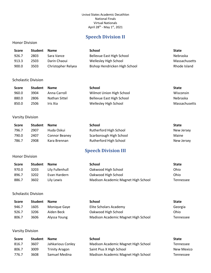# **Speech Division II**

### <span id="page-30-0"></span>Honor Division

| Score | <b>Student</b> | <b>Name</b>        | School                        | <b>State</b>    |
|-------|----------------|--------------------|-------------------------------|-----------------|
| 926.7 | 2803           | Sara Vance         | Bellevue East High School     | <b>Nebraska</b> |
| 913.3 | 2503           | Darin Chaoui       | Wellesley High School         | Massachusetts   |
| 900.0 | 3503           | Christopher Relyea | Bishop Hendricken High School | Rhode Island    |

### Scholastic Division

| <b>Score</b> | <b>Student</b> | <b>Name</b>   | School                    | <b>State</b>    |
|--------------|----------------|---------------|---------------------------|-----------------|
| 960.0        | 3904           | Anna Carroll  | Wilmot Union High School  | Wisconsin       |
| 880.0        | 2806           | Nathan Sittel | Bellevue East High School | <b>Nebraska</b> |
| 850.0        | 2506           | Iris Xia      | Wellesley High School     | Massachusetts   |

### Varsity Division

| <b>Score</b> | <b>Student</b> | <b>Name</b>   | School                  | <b>State</b> |
|--------------|----------------|---------------|-------------------------|--------------|
| 796.7        | 2907           | Huda Oskui    | Rutherford High School  | New Jersey   |
| 790.0        | 2407           | Connor Beaney | Scarborough High School | Maine        |
| 786.7        | 2908           | Kara Brennan  | Rutherford High School  | New Jersey   |

# **Speech Division III**

### <span id="page-30-1"></span>Honor Division

| Score | <b>Student</b> | <b>Name</b>     | School                              | <b>State</b> |
|-------|----------------|-----------------|-------------------------------------|--------------|
| 970.0 | 3203           | Lily Fullenhull | Oakwood High School                 | Ohio         |
| 896.7 | 3202           | Evan Hardern    | Oakwood High School                 | Ohio         |
| 886.7 | 3602           | Lily Lewis      | Madison Academic Magnet High School | Tennessee    |

Scholastic Division

| <b>Score</b> | <b>Student</b> | <b>Name</b>  | School                              | <b>State</b> |
|--------------|----------------|--------------|-------------------------------------|--------------|
| 946.7        | 1605           | Monique Gaye | Elite Scholars Academy              | Georgia      |
| 926.7        | 3206           | Aiden Beck   | Oakwood High School                 | Ohio         |
| 806.7        | 3606           | Alyssa Young | Madison Academic Magnet High School | Tennessee    |

| <b>Score</b> | <b>Student</b> | <b>Name</b>           | School                              | <b>State</b> |
|--------------|----------------|-----------------------|-------------------------------------|--------------|
| 816.7        | 3607           | Jahkarious Conley     | Madison Academic Magnet High School | Tennessee    |
| 806.7        | 3009           | <b>Trinity Aragon</b> | Saint Pius X High School            | New Mexico   |
| 776.7        | 3608           | Samuel Medina         | Madison Academic Magnet High School | Tennessee    |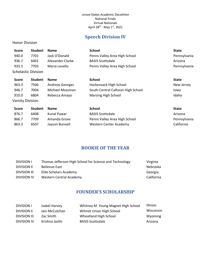# **Speech Division IV**

### <span id="page-31-0"></span>Honor Division

| <b>Score</b>     | <b>Student</b>      | <b>Name</b>      | <b>School</b>                     | <b>State</b> |
|------------------|---------------------|------------------|-----------------------------------|--------------|
| 940.0            | 7701                | Jack O'Donald    | Penns Valley Area High School     | Pennsylvania |
| 936.7            | 6401                | Alexander Clarke | <b>BASIS Scottsdale</b>           | Arizona      |
| 933.3            | 7703                | Maria Lovallo    | Penns Valley Area High School     | Pennsylvania |
|                  | Scholastic Division |                  |                                   |              |
| <b>Score</b>     | <b>Student</b>      | <b>Name</b>      | <b>School</b>                     | <b>State</b> |
| 963.3            | 7506                | Andreas Georges  | Hackensack High School            | New Jersey   |
| 946.7            | 7004                | Michael Mossman  | South Central Calhoun High School | Iowa         |
| 910.0            | 6804                | Rebecca Amaya    | <b>Marsing High School</b>        | Idaho        |
| Varsity Division |                     |                  |                                   |              |
| <b>Score</b>     | <b>Student</b>      | <b>Name</b>      | <b>School</b>                     | <b>State</b> |
| 876.7            | 6408                | Kunal Pawar      | <b>BASIS Scottsdale</b>           | Arizona      |
| 866.7            | 7709                | Amanda Grove     | Penns Valley Area High School     | Pennsylvania |

# **ROOKIE OF THE YEAR**

863.3 6507 Jayson Bunnell Western Center Academy California

<span id="page-31-1"></span>

| <b>DIVISION I</b>   | Thomas Jefferson High School for Science and Technology | Virginia   |
|---------------------|---------------------------------------------------------|------------|
| <b>DIVISION II</b>  | <b>Bellevue East</b>                                    | Nebraska   |
| <b>DIVISION III</b> | Elite Scholars Academy                                  | Georgia    |
| DIVISION IV         | Western Central Academy                                 | California |

# **FOUNDER'S SCHOLARSHIP**

<span id="page-31-2"></span>

| DIVISION L   | Isabel Harvey  | Whitney M. Young Magnet High School | <b>Illinois</b> |
|--------------|----------------|-------------------------------------|-----------------|
| DIVISION II  | Jain McCutchan | Wilmot Union High School            | Wisconsin       |
| DIVISION III | Zac Smith      | Wheatland High School               | Wyoming         |
| DIVISION IV  | Krishna Jasthi | <b>BASIS Scottsdale</b>             | Arizona         |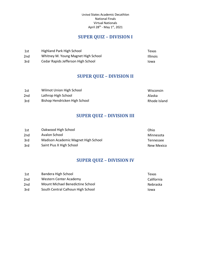# **SUPER QUIZ – DIVISION I**

<span id="page-32-0"></span>

| 1st             | Highland Park High School           | Texas           |
|-----------------|-------------------------------------|-----------------|
| 2 <sub>nd</sub> | Whitney M. Young Magnet High School | <b>Illinois</b> |
| 3rd             | Cedar Rapids Jefferson High School  | Iowa            |

# **SUPER QUIZ – DIVISION II**

<span id="page-32-1"></span>

| 1st             | Wilmot Union High School      | Wisconsin    |
|-----------------|-------------------------------|--------------|
| 2 <sub>nd</sub> | Lathrop High School           | Alaska       |
| 3rd             | Bishop Hendricken High School | Rhode Island |

# **SUPER QUIZ – DIVISION III**

<span id="page-32-2"></span>

| 1st | Oakwood High School                 | Ohio       |
|-----|-------------------------------------|------------|
| 2nd | Avalon School                       | Minnesota  |
| 3rd | Madison Academic Magnet High School | Tennessee  |
| 3rd | Saint Pius X High School            | New Mexico |

# **SUPER QUIZ – DIVISION IV**

<span id="page-32-3"></span>

| 1st             | Bandera High School               | Texas      |
|-----------------|-----------------------------------|------------|
| 2 <sub>nd</sub> | Western Center Academy            | California |
| 2nd             | Mount Michael Benedictine School  | Nebraska   |
| 3rd             | South Central Calhoun High School | lowa       |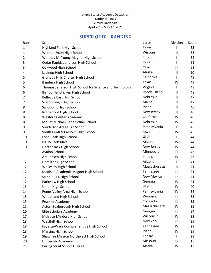# **SUPER QUIZ – RANKING**

<span id="page-33-0"></span>

| Rank | School                                                  | State             | Division                   | Score |
|------|---------------------------------------------------------|-------------------|----------------------------|-------|
| 1    | Highland Park High School                               | Texas             |                            | 53    |
| 1    | Wilmot Union High School                                | Wisconsin         | Ш                          | 53    |
| 2    | Whitney M. Young Magnet High School                     | Illinois          | $\mathsf{I}$               | 52    |
| 3    | Cedar Rapids Jefferson High School                      | lowa              | I                          | 51    |
| 3    | Oakwood High School                                     | Ohio              | Ш                          | 51    |
| 4    | Lathrop High School                                     | Alaska            | $\ensuremath{\mathsf{II}}$ | 50    |
| 5    | Granada Hills Charter High School                       | California        |                            | 49    |
| 5    | Bandera High School                                     | Texas             | IV                         | 49    |
| 6    | Thomas Jefferson High School for Science and Technology | Virginia          | $\mathsf{I}$               | 48    |
| 6    | Bishop Hendricken High School                           | Rhode Island      | Ш                          | 48    |
| 7    | <b>Bellevue East High School</b>                        | Nebraska          | $\mathsf{II}$              | 47    |
| 7    | Scarborough High School                                 | Maine             | $\mathsf{II}$              | 47    |
| 8    | Sandpoint High School                                   | Idaho             | Ш                          | 46    |
| 8    | Rutherford High School                                  | New Jersey        | $\ensuremath{\mathsf{II}}$ | 46    |
| 8    | <b>Western Center Academy</b>                           | California        | IV                         | 46    |
| 8    | Mount Michael Benedictine School                        | Nebraska          | IV                         | 46    |
| 9    | Souderton Area High School                              | Pennsylvania      | I                          | 45    |
| 9    | South Central Calhoun High School                       | lowa              | IV                         | 45    |
| 10   | Lone Peak High School                                   | Utah              |                            | 44    |
| 10   | <b>BASIS Scottsdale</b>                                 | Arizona           | IV                         | 44    |
| 10   | Hackensack High School                                  | New Jersey        | IV                         | 44    |
| 11   | Avalon School                                           | Minnesota         | Ш                          | 43    |
| 11   | Amundsen High School                                    | Illinois          | IV                         | 43    |
| 12   | Hamilton High School                                    | Arizona           |                            | 41    |
| 12   | Wellesley High School                                   | Massachusetts     | Ш                          | 41    |
| 12   | Madison Academic Magnet High School                     | Tennessee         | Ш                          | 41    |
| 12   | Saint Pius X High School                                | <b>New Mexico</b> | Ш                          | 41    |
| 12   | Parkview High School                                    | Georgia           | IV                         | 41    |
| 13   | Union High School                                       | Utah              | IV                         | 40    |
| 14   | Penns Valley Area High School                           | Pennsylvania      | IV                         | 38    |
| 15   | <b>Wheatland High School</b>                            | Wyoming           | Ш                          | 35    |
| 15   | <b>Frontier Academy</b>                                 | Colorado          | III                        | 35    |
| 15   | Acton-Boxborough High School                            | Massachusetts     | IV                         | 35    |
| 16   | <b>Elite Scholars Academy</b>                           | Georgia           | Ш                          | 34    |
| 17   | Melrose-Mindoro High School                             | Wisconsin         | IV                         | 33    |
| 18   | Westhill High School                                    | New York          | Ш                          | 29    |
| 18   | Fayette-Ware Comprehensive High School                  | Tennessee         | IV                         | 29    |
| 18   | <b>Marsing High School</b>                              | Idaho             | IV                         | 29    |
| 19   | Shawnee Mission Northwest High School                   | Kansas            |                            | 23    |
| 20   | University Academy                                      | Missouri          | Ш                          | 15    |
| 21   | <b>Bering Strait School District</b>                    | Alaska            | IV                         | 13    |